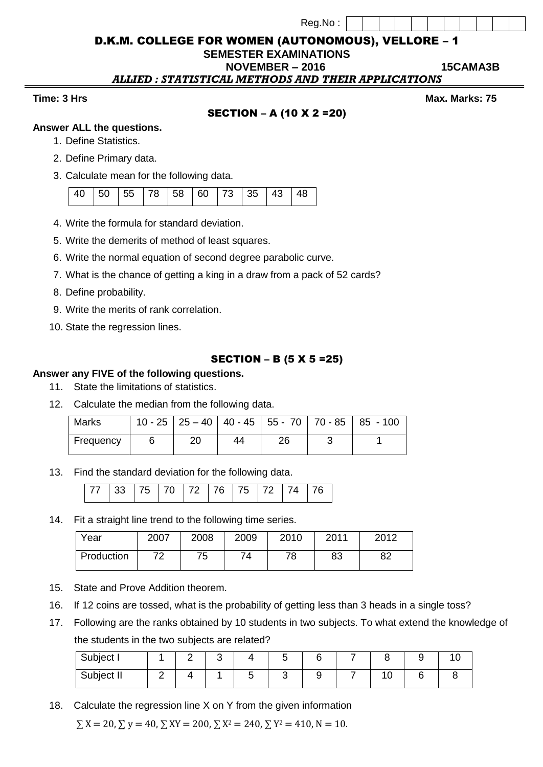| Reg.No: |  |
|---------|--|
|         |  |

#### D.K.M. COLLEGE FOR WOMEN (AUTONOMOUS), VELLORE – 1

# **SEMESTER EXAMINATIONS**

 **NOVEMBER – 2016 15CAMA3B**

*ALLIED : STATISTICAL METHODS AND THEIR APPLICATIONS*

**Time: 3** Hrs Max. Marks: 75

# SECTION – A (10 X 2 =20)

## **Answer ALL the questions.**

- 1. Define Statistics.
- 2. Define Primary data.
- 3. Calculate mean for the following data.

| 40 50 55 78 58 60 73 35 43 48 |
|-------------------------------|
|-------------------------------|

- 4. Write the formula for standard deviation.
- 5. Write the demerits of method of least squares.
- 6. Write the normal equation of second degree parabolic curve.
- 7. What is the chance of getting a king in a draw from a pack of 52 cards?
- 8. Define probability.
- 9. Write the merits of rank correlation.
- 10. State the regression lines.

# SECTION – B (5 X 5 =25)

#### **Answer any FIVE of the following questions.**

- 11. State the limitations of statistics.
- 12. Calculate the median from the following data.

| <b>Marks</b> |    |    |    | $10 - 25$   25 - 40   40 - 45   55 - 70   70 - 85   85 - 100 |
|--------------|----|----|----|--------------------------------------------------------------|
| Frequency    | 20 | 44 | 26 |                                                              |

13. Find the standard deviation for the following data.

| $77$ 33 75 70 72 76 75 72 74 76 |  |  |  |  |
|---------------------------------|--|--|--|--|
|                                 |  |  |  |  |

14. Fit a straight line trend to the following time series.

| Year              | 2007 | 2008 | 2009 | 2010 | 2011 | 2012 |
|-------------------|------|------|------|------|------|------|
| <b>Production</b> | 70   | 75   | 74   | 78   | 83   | 82   |

- 15. State and Prove Addition theorem.
- 16. If 12 coins are tossed, what is the probability of getting less than 3 heads in a single toss?
- 17. Following are the ranks obtained by 10 students in two subjects. To what extend the knowledge of the students in the two subjects are related?

| Subject I  |        |  | -<br>◡ |   |  | ັ |
|------------|--------|--|--------|---|--|---|
| Subject II | -<br>_ |  | ◡      | ັ |  |   |

18. Calculate the regression line X on Y from the given information

 $\Sigma$  X = 20,  $\Sigma$  y = 40,  $\Sigma$  XY = 200,  $\Sigma$  X<sup>2</sup> = 240,  $\Sigma$  Y<sup>2</sup> = 410, N = 10.